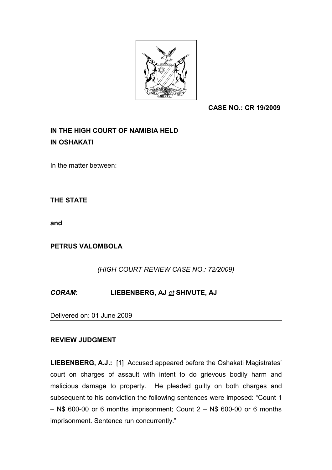

 **CASE NO.: CR 19/2009**

## **IN THE HIGH COURT OF NAMIBIA HELD IN OSHAKATI**

In the matter between:

**THE STATE**

**and**

**PETRUS VALOMBOLA**

*(HIGH COURT REVIEW CASE NO.: 72/2009)*

*CORAM***: LIEBENBERG, AJ** *et* **SHIVUTE, AJ**

Delivered on: 01 June 2009

## **REVIEW JUDGMENT**

**LIEBENBERG, A.J.:** [1] Accused appeared before the Oshakati Magistrates' court on charges of assault with intent to do grievous bodily harm and malicious damage to property. He pleaded guilty on both charges and subsequent to his conviction the following sentences were imposed: "Count 1  $-$  N\$ 600-00 or 6 months imprisonment; Count  $2 -$  N\$ 600-00 or 6 months imprisonment. Sentence run concurrently."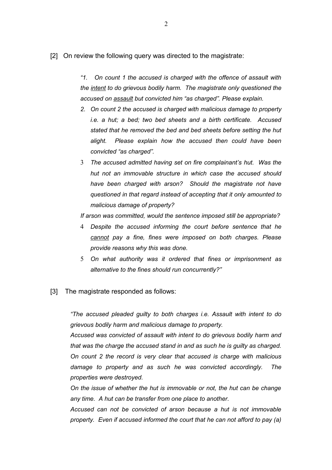[2] On review the following query was directed to the magistrate:

*"1. On count 1 the accused is charged with the offence of assault with the intent to do grievous bodily harm. The magistrate only questioned the accused on assault but convicted him "as charged". Please explain.*

- *2. On count 2 the accused is charged with malicious damage to property i.e. a hut; a bed; two bed sheets and a birth certificate. Accused stated that he removed the bed and bed sheets before setting the hut alight. Please explain how the accused then could have been convicted "as charged".*
- 3 *The accused admitted having set on fire complainant's hut. Was the hut not an immovable structure in which case the accused should have been charged with arson? Should the magistrate not have questioned in that regard instead of accepting that it only amounted to malicious damage of property?*

*If arson was committed, would the sentence imposed still be appropriate?*

- 4 *Despite the accused informing the court before sentence that he cannot pay a fine, fines were imposed on both charges. Please provide reasons why this was done.*
- 5 *On what authority was it ordered that fines or imprisonment as alternative to the fines should run concurrently?"*
- [3] The magistrate responded as follows:

*"The accused pleaded guilty to both charges i.e. Assault with intent to do grievous bodily harm and malicious damage to property.*

*Accused was convicted of assault with intent to do grievous bodily harm and that was the charge the accused stand in and as such he is guilty as charged. On count 2 the record is very clear that accused is charge with malicious damage to property and as such he was convicted accordingly. The properties were destroyed.*

*On the issue of whether the hut is immovable or not, the hut can be change any time. A hut can be transfer from one place to another.*

*Accused can not be convicted of arson because a hut is not immovable property. Even if accused informed the court that he can not afford to pay (a)*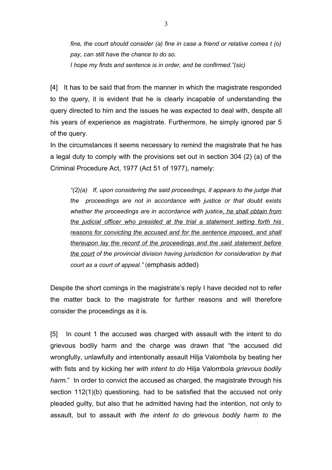*fine, the court should consider (a) fine in case a friend or relative comes t (o) pay, can still have the chance to do so. I hope my finds and sentence is in order, and be confirmed."(sic)*

[4] It has to be said that from the manner in which the magistrate responded to the query, it is evident that he is clearly incapable of understanding the query directed to him and the issues he was expected to deal with, despite all his years of experience as magistrate. Furthermore, he simply ignored par 5 of the query.

In the circumstances it seems necessary to remind the magistrate that he has a legal duty to comply with the provisions set out in section 304 (2) (a) of the Criminal Procedure Act, 1977 (Act 51 of 1977), namely:

*"(2)(a) If, upon considering the said proceedings, it appears to the judge that the proceedings are not in accordance with justice or that doubt exists whether the proceedings are in accordance with justice, he shall obtain from the judicial officer who presided at the trial a statement setting forth his reasons for convicting the accused and for the sentence imposed, and shall thereupon lay the record of the proceedings and the said statement before the court of the provincial division having jurisdiction for consideration by that court as a court of appeal."* (emphasis added)

Despite the short comings in the magistrate's reply I have decided not to refer the matter back to the magistrate for further reasons and will therefore consider the proceedings as it is.

[5] In count 1 the accused was charged with assault with the intent to do grievous bodily harm and the charge was drawn that "the accused did wrongfully, unlawfully and intentionally assault Hilja Valombola by beating her with fists and by kicking her *with intent to do* Hilja Valombola *grievous bodily harm.*" In order to convict the accused as charged, the magistrate through his section 112(1)(b) questioning, had to be satisfied that the accused not only pleaded guilty, but also that he admitted having had the intention, not only to assault, but to assault *with the intent to do grievous bodily harm to the*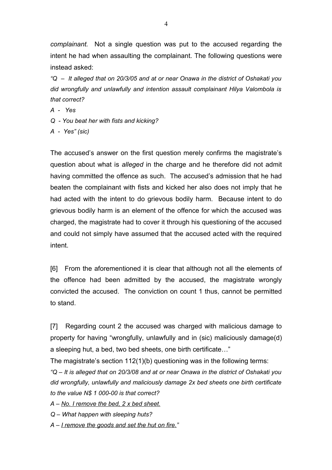*complainant.* Not a single question was put to the accused regarding the intent he had when assaulting the complainant. The following questions were instead asked:

*"Q – It alleged that on 20/3/05 and at or near Onawa in the district of Oshakati you did wrongfully and unlawfully and intention assault complainant Hilya Valombola is that correct?*

*A - Yes*

- *Q You beat her with fists and kicking?*
- *A Yes" (sic)*

The accused's answer on the first question merely confirms the magistrate's question about what is *alleged* in the charge and he therefore did not admit having committed the offence as such. The accused's admission that he had beaten the complainant with fists and kicked her also does not imply that he had acted with the intent to do grievous bodily harm. Because intent to do grievous bodily harm is an element of the offence for which the accused was charged, the magistrate had to cover it through his questioning of the accused and could not simply have assumed that the accused acted with the required intent.

[6] From the aforementioned it is clear that although not all the elements of the offence had been admitted by the accused, the magistrate wrongly convicted the accused. The conviction on count 1 thus, cannot be permitted to stand.

[7] Regarding count 2 the accused was charged with malicious damage to property for having "wrongfully, unlawfully and in (sic) maliciously damage(d) a sleeping hut, a bed, two bed sheets, one birth certificate…"

The magistrate's section 112(1)(b) questioning was in the following terms:

*"Q – It is alleged that on 20/3/08 and at or near Onawa in the district of Oshakati you did wrongfully, unlawfully and maliciously damage 2x bed sheets one birth certificate to the value N\$ 1 000-00 is that correct?*

*A – No. I remove the bed, 2 x bed sheet.*

*Q – What happen with sleeping huts?*

*A – I remove the goods and set the hut on fire."*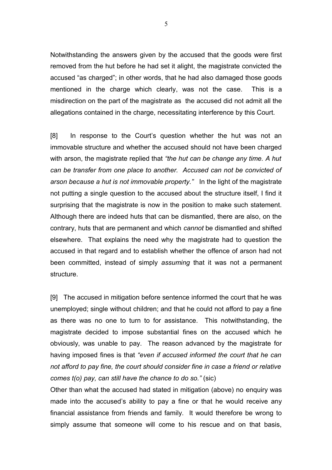Notwithstanding the answers given by the accused that the goods were first removed from the hut before he had set it alight, the magistrate convicted the accused "as charged"; in other words, that he had also damaged those goods mentioned in the charge which clearly, was not the case. This is a misdirection on the part of the magistrate as the accused did not admit all the allegations contained in the charge, necessitating interference by this Court.

[8] In response to the Court's question whether the hut was not an immovable structure and whether the accused should not have been charged with arson, the magistrate replied that *"the hut can be change any time. A hut can be transfer from one place to another. Accused can not be convicted of arson because a hut is not immovable property."* In the light of the magistrate not putting a single question to the accused about the structure itself, I find it surprising that the magistrate is now in the position to make such statement. Although there are indeed huts that can be dismantled, there are also, on the contrary, huts that are permanent and which *cannot* be dismantled and shifted elsewhere. That explains the need why the magistrate had to question the accused in that regard and to establish whether the offence of arson had not been committed, instead of simply *assuming* that it was not a permanent structure.

[9] The accused in mitigation before sentence informed the court that he was unemployed; single without children; and that he could not afford to pay a fine as there was no one to turn to for assistance. This notwithstanding, the magistrate decided to impose substantial fines on the accused which he obviously, was unable to pay. The reason advanced by the magistrate for having imposed fines is that *"even if accused informed the court that he can not afford to pay fine, the court should consider fine in case a friend or relative comes t(o) pay, can still have the chance to do so."* (sic)

Other than what the accused had stated in mitigation (above) no enquiry was made into the accused's ability to pay a fine or that he would receive any financial assistance from friends and family. It would therefore be wrong to simply assume that someone will come to his rescue and on that basis,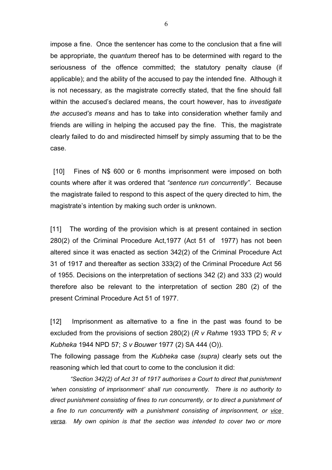impose a fine. Once the sentencer has come to the conclusion that a fine will be appropriate, the *quantum* thereof has to be determined with regard to the seriousness of the offence committed; the statutory penalty clause (if applicable); and the ability of the accused to pay the intended fine. Although it is not necessary, as the magistrate correctly stated, that the fine should fall within the accused's declared means, the court however, has to *investigate the accused's means* and has to take into consideration whether family and friends are willing in helping the accused pay the fine. This, the magistrate clearly failed to do and misdirected himself by simply assuming that to be the case.

[10] Fines of N\$ 600 or 6 months imprisonment were imposed on both counts where after it was ordered that *"sentence run concurrently"*. Because the magistrate failed to respond to this aspect of the query directed to him, the magistrate's intention by making such order is unknown.

[11] The wording of the provision which is at present contained in section 280(2) of the Criminal Procedure Act,1977 (Act 51 of 1977) has not been altered since it was enacted as section 342(2) of the Criminal Procedure Act 31 of 1917 and thereafter as section 333(2) of the Criminal Procedure Act 56 of 1955. Decisions on the interpretation of sections 342 (2) and 333 (2) would therefore also be relevant to the interpretation of section 280 (2) of the present Criminal Procedure Act 51 of 1977.

[12] Imprisonment as alternative to a fine in the past was found to be excluded from the provisions of section 280(2) (*R v Rahme* 1933 TPD 5; *R v Kubheka* 1944 NPD 57; *S v Bouwer* 1977 (2) SA 444 (O)).

The following passage from the *Kubheka* case *(supra)* clearly sets out the reasoning which led that court to come to the conclusion it did:

*"Section 342(2) of Act 31 of 1917 authorises a Court to direct that punishment 'when consisting of imprisonment' shall run concurrently. There is no authority to direct punishment consisting of fines to run concurrently, or to direct a punishment of a fine to run concurrently with a punishment consisting of imprisonment, or vice versa. My own opinion is that the section was intended to cover two or more*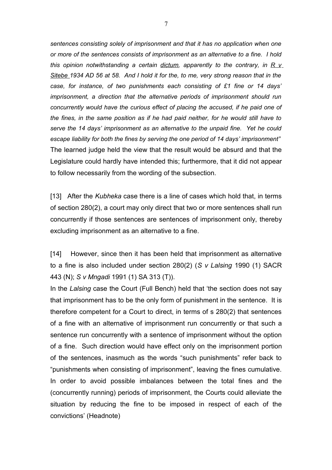*sentences consisting solely of imprisonment and that it has no application when one or more of the sentences consists of imprisonment as an alternative to a fine. I hold this opinion notwithstanding a certain dictum, apparently to the contrary, in R v Sitebe 1934 AD 56 at 58. And I hold it for the, to me, very strong reason that in the case, for instance, of two punishments each consisting of £1 fine or 14 days' imprisonment, a direction that the alternative periods of imprisonment should run concurrently would have the curious effect of placing the accused, if he paid one of the fines, in the same position as if he had paid neither, for he would still have to serve the 14 days' imprisonment as an alternative to the unpaid fine. Yet he could escape liability for both the fines by serving the one period of 14 days' imprisonment"* The learned judge held the view that the result would be absurd and that the Legislature could hardly have intended this; furthermore, that it did not appear to follow necessarily from the wording of the subsection.

[13] After the *Kubheka* case there is a line of cases which hold that, in terms of section 280(2), a court may only direct that two or more sentences shall run concurrently if those sentences are sentences of imprisonment only, thereby excluding imprisonment as an alternative to a fine.

[14] However, since then it has been held that imprisonment as alternative to a fine is also included under section 280(2) (*S v Lalsing* 1990 (1) SACR 443 (N); *S v Mngadi* 1991 (1) SA 313 (T)).

In the *Lalsing* case the Court (Full Bench) held that 'the section does not say that imprisonment has to be the only form of punishment in the sentence. It is therefore competent for a Court to direct, in terms of s 280(2) that sentences of a fine with an alternative of imprisonment run concurrently or that such a sentence run concurrently with a sentence of imprisonment without the option of a fine. Such direction would have effect only on the imprisonment portion of the sentences, inasmuch as the words "such punishments" refer back to "punishments when consisting of imprisonment", leaving the fines cumulative. In order to avoid possible imbalances between the total fines and the (concurrently running) periods of imprisonment, the Courts could alleviate the situation by reducing the fine to be imposed in respect of each of the convictions' (Headnote)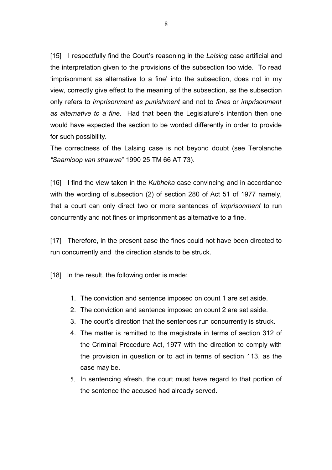[15] I respectfully find the Court's reasoning in the *Lalsing* case artificial and the interpretation given to the provisions of the subsection too wide. To read 'imprisonment as alternative to a fine' into the subsection, does not in my view, correctly give effect to the meaning of the subsection, as the subsection only refers to *imprisonment as punishment* and not to *fines* or *imprisonment as alternative to a fine.* Had that been the Legislature's intention then one would have expected the section to be worded differently in order to provide for such possibility.

The correctness of the Lalsing case is not beyond doubt (see Terblanche *"Saamloop van strawwe*" 1990 25 TM 66 AT 73).

[16] I find the view taken in the *Kubheka* case convincing and in accordance with the wording of subsection (2) of section 280 of Act 51 of 1977 namely, that a court can only direct two or more sentences of *imprisonment* to run concurrently and not fines or imprisonment as alternative to a fine.

[17] Therefore, in the present case the fines could not have been directed to run concurrently and the direction stands to be struck.

[18] In the result, the following order is made:

- 1. The conviction and sentence imposed on count 1 are set aside.
- 2. The conviction and sentence imposed on count 2 are set aside.
- 3. The court's direction that the sentences run concurrently is struck.
- 4. The matter is remitted to the magistrate in terms of section 312 of the Criminal Procedure Act, 1977 with the direction to comply with the provision in question or to act in terms of section 113, as the case may be.
- 5. In sentencing afresh, the court must have regard to that portion of the sentence the accused had already served.